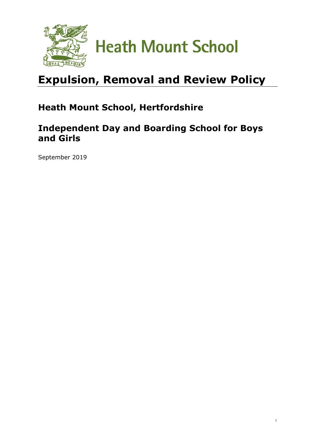

# **Expulsion, Removal and Review Policy**

## **Heath Mount School, Hertfordshire**

### **Independent Day and Boarding School for Boys and Girls**

1

September 2019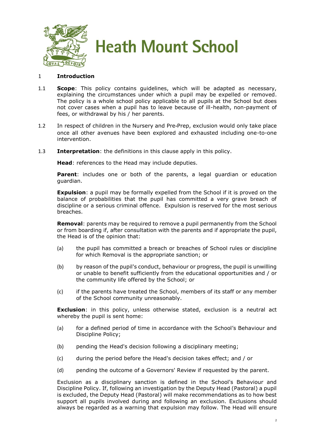

#### 1 **Introduction**

- 1.1 **Scope**: This policy contains guidelines, which will be adapted as necessary, explaining the circumstances under which a pupil may be expelled or removed. The policy is a whole school policy applicable to all pupils at the School but does not cover cases when a pupil has to leave because of ill-health, non-payment of fees, or withdrawal by his / her parents.
- 1.2 In respect of children in the Nursery and Pre**-**Prep, exclusion would only take place once all other avenues have been explored and exhausted including one-to-one intervention.
- 1.3 **Interpretation**: the definitions in this clause apply in this policy.

**Head**: references to the Head may include deputies.

**Parent**: includes one or both of the parents, a legal guardian or education guardian.

**Expulsion**: a pupil may be formally expelled from the School if it is proved on the balance of probabilities that the pupil has committed a very grave breach of discipline or a serious criminal offence. Expulsion is reserved for the most serious breaches.

**Removal**: parents may be required to remove a pupil permanently from the School or from boarding if, after consultation with the parents and if appropriate the pupil, the Head is of the opinion that:

- (a) the pupil has committed a breach or breaches of School rules or discipline for which Removal is the appropriate sanction; or
- (b) by reason of the pupil's conduct, behaviour or progress, the pupil is unwilling or unable to benefit sufficiently from the educational opportunities and / or the community life offered by the School; or
- (c) if the parents have treated the School, members of its staff or any member of the School community unreasonably.

**Exclusion**: in this policy, unless otherwise stated, exclusion is a neutral act whereby the pupil is sent home:

- (a) for a defined period of time in accordance with the School's Behaviour and Discipline Policy;
- (b) pending the Head's decision following a disciplinary meeting;
- (c) during the period before the Head's decision takes effect; and / or
- (d) pending the outcome of a Governors' Review if requested by the parent.

Exclusion as a disciplinary sanction is defined in the School's Behaviour and Discipline Policy. If, following an investigation by the Deputy Head (Pastoral) a pupil is excluded, the Deputy Head (Pastoral) will make recommendations as to how best support all pupils involved during and following an exclusion. Exclusions should always be regarded as a warning that expulsion may follow. The Head will ensure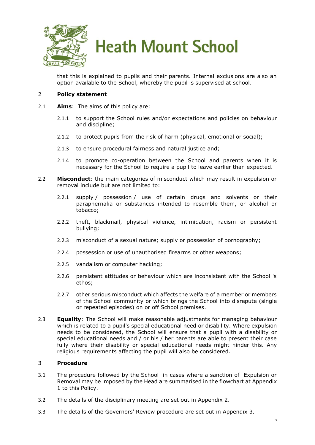

that this is explained to pupils and their parents. Internal exclusions are also an option available to the School, whereby the pupil is supervised at school.

#### 2 **Policy statement**

- 2.1 **Aims**: The aims of this policy are:
	- 2.1.1 to support the School rules and/or expectations and policies on behaviour and discipline;
	- 2.1.2 to protect pupils from the risk of harm (physical, emotional or social);
	- 2.1.3 to ensure procedural fairness and natural justice and;
	- 2.1.4 to promote co-operation between the School and parents when it is necessary for the School to require a pupil to leave earlier than expected.
- 2.2 **Misconduct**: the main categories of misconduct which may result in expulsion or removal include but are not limited to:
	- 2.2.1 supply / possession / use of certain drugs and solvents or their paraphernalia or substances intended to resemble them, or alcohol or tobacco;
	- 2.2.2 theft, blackmail, physical violence, intimidation, racism or persistent bullying;
	- 2.2.3 misconduct of a sexual nature; supply or possession of pornography;
	- 2.2.4 possession or use of unauthorised firearms or other weapons;
	- 2.2.5 vandalism or computer hacking;
	- 2.2.6 persistent attitudes or behaviour which are inconsistent with the School 's ethos;
	- 2.2.7 other serious misconduct which affects the welfare of a member or members of the School community or which brings the School into disrepute (single or repeated episodes) on or off School premises.
- 2.3 **Equality**: The School will make reasonable adjustments for managing behaviour which is related to a pupil's special educational need or disability. Where expulsion needs to be considered, the School will ensure that a pupil with a disability or special educational needs and / or his / her parents are able to present their case fully where their disability or special educational needs might hinder this. Any religious requirements affecting the pupil will also be considered.

#### 3 **Procedure**

- 3.1 The procedure followed by the School in cases where a sanction of Expulsion or Removal may be imposed by the Head are summarised in the flowchart at [Appendix](#page-3-0)  [1](#page-3-0) to this Policy.
- 3.2 The details of the disciplinary meeting are set out in [Appendix 2.](#page-5-0)
- 3.3 The details of the Governors' Review procedure are set out in [Appendix 3.](#page-8-0)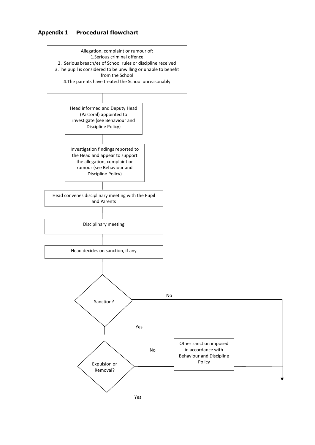#### <span id="page-3-0"></span>**Appendix 1 Procedural flowchart**

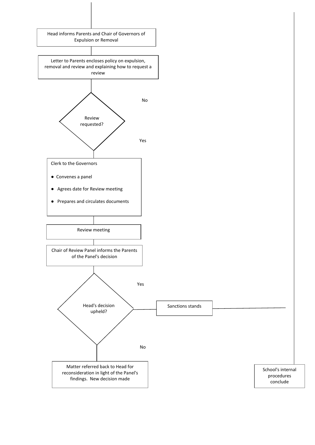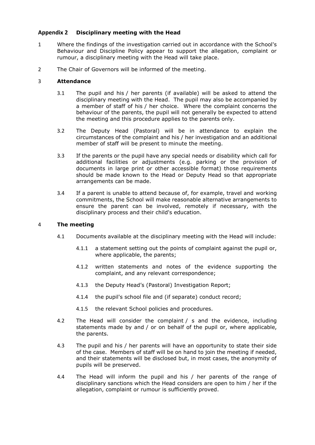#### <span id="page-5-0"></span>**Appendix 2 Disciplinary meeting with the Head**

- 1 Where the findings of the investigation carried out in accordance with the School's Behaviour and Discipline Policy appear to support the allegation, complaint or rumour, a disciplinary meeting with the Head will take place.
- 2 The Chair of Governors will be informed of the meeting.

#### 3 **Attendance**

- 3.1 The pupil and his / her parents (if available) will be asked to attend the disciplinary meeting with the Head. The pupil may also be accompanied by a member of staff of his / her choice. Where the complaint concerns the behaviour of the parents, the pupil will not generally be expected to attend the meeting and this procedure applies to the parents only.
- 3.2 The Deputy Head (Pastoral) will be in attendance to explain the circumstances of the complaint and his / her investigation and an additional member of staff will be present to minute the meeting.
- 3.3 If the parents or the pupil have any special needs or disability which call for additional facilities or adjustments (e.g. parking or the provision of documents in large print or other accessible format) those requirements should be made known to the Head or Deputy Head so that appropriate arrangements can be made.
- 3.4 If a parent is unable to attend because of, for example, travel and working commitments, the School will make reasonable alternative arrangements to ensure the parent can be involved, remotely if necessary, with the disciplinary process and their child's education.

#### 4 **The meeting**

- 4.1 Documents available at the disciplinary meeting with the Head will include:
	- 4.1.1 a statement setting out the points of complaint against the pupil or, where applicable, the parents;
	- 4.1.2 written statements and notes of the evidence supporting the complaint, and any relevant correspondence;
	- 4.1.3 the Deputy Head's (Pastoral) Investigation Report;
	- 4.1.4 the pupil's school file and (if separate) conduct record;
	- 4.1.5 the relevant School policies and procedures.
- 4.2 The Head will consider the complaint / s and the evidence, including statements made by and / or on behalf of the pupil or, where applicable, the parents.
- 4.3 The pupil and his / her parents will have an opportunity to state their side of the case. Members of staff will be on hand to join the meeting if needed, and their statements will be disclosed but, in most cases, the anonymity of pupils will be preserved.
- 4.4 The Head will inform the pupil and his / her parents of the range of disciplinary sanctions which the Head considers are open to him / her if the allegation, complaint or rumour is sufficiently proved.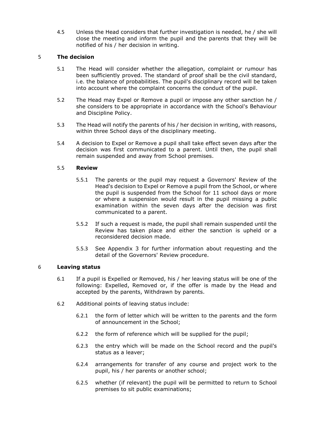4.5 Unless the Head considers that further investigation is needed, he / she will close the meeting and inform the pupil and the parents that they will be notified of his / her decision in writing.

#### 5 **The decision**

- 5.1 The Head will consider whether the allegation, complaint or rumour has been sufficiently proved. The standard of proof shall be the civil standard, i.e. the balance of probabilities. The pupil's disciplinary record will be taken into account where the complaint concerns the conduct of the pupil.
- 5.2 The Head may Expel or Remove a pupil or impose any other sanction he / she considers to be appropriate in accordance with the School's Behaviour and Discipline Policy.
- 5.3 The Head will notify the parents of his / her decision in writing, with reasons, within three School days of the disciplinary meeting.
- 5.4 A decision to Expel or Remove a pupil shall take effect seven days after the decision was first communicated to a parent. Until then, the pupil shall remain suspended and away from School premises.

#### 5.5 **Review**

- 5.5.1 The parents or the pupil may request a Governors' Review of the Head's decision to Expel or Remove a pupil from the School, or where the pupil is suspended from the School for 11 school days or more or where a suspension would result in the pupil missing a public examination within the seven days after the decision was first communicated to a parent.
- 5.5.2 If such a request is made, the pupil shall remain suspended until the Review has taken place and either the sanction is upheld or a reconsidered decision made.
- 5.5.3 See [Appendix 3](#page-8-0) for further information about requesting and the detail of the Governors' Review procedure.

#### 6 **Leaving status**

- 6.1 If a pupil is Expelled or Removed, his / her leaving status will be one of the following: Expelled, Removed or, if the offer is made by the Head and accepted by the parents, Withdrawn by parents.
- 6.2 Additional points of leaving status include:
	- 6.2.1 the form of letter which will be written to the parents and the form of announcement in the School;
	- 6.2.2 the form of reference which will be supplied for the pupil;
	- 6.2.3 the entry which will be made on the School record and the pupil's status as a leaver;
	- 6.2.4 arrangements for transfer of any course and project work to the pupil, his / her parents or another school;
	- 6.2.5 whether (if relevant) the pupil will be permitted to return to School premises to sit public examinations;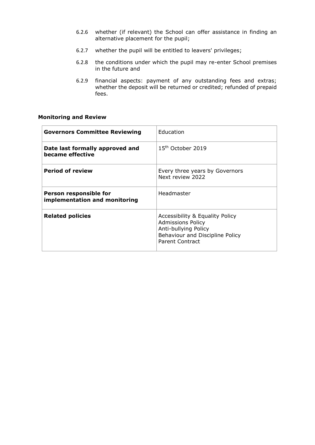- 6.2.6 whether (if relevant) the School can offer assistance in finding an alternative placement for the pupil;
- 6.2.7 whether the pupil will be entitled to leavers' privileges;
- 6.2.8 the conditions under which the pupil may re-enter School premises in the future and
- 6.2.9 financial aspects: payment of any outstanding fees and extras; whether the deposit will be returned or credited; refunded of prepaid fees.

#### **Monitoring and Review**

| <b>Governors Committee Reviewing</b>                    | Education                                                                                                                                 |
|---------------------------------------------------------|-------------------------------------------------------------------------------------------------------------------------------------------|
| Date last formally approved and<br>became effective     | 15 <sup>th</sup> October 2019                                                                                                             |
| <b>Period of review</b>                                 | Every three years by Governors<br>Next review 2022                                                                                        |
| Person responsible for<br>implementation and monitoring | Headmaster                                                                                                                                |
| <b>Related policies</b>                                 | Accessibility & Equality Policy<br><b>Admissions Policy</b><br>Anti-bullying Policy<br>Behaviour and Discipline Policy<br>Parent Contract |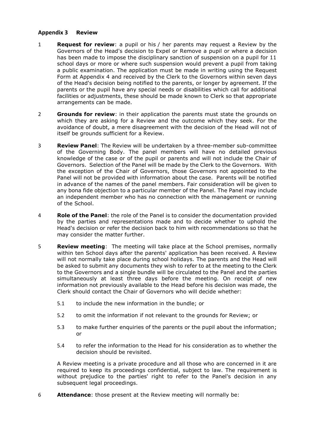#### <span id="page-8-0"></span>**Appendix 3 Review**

- 1 **Request for review**: a pupil or his / her parents may request a Review by the Governors of the Head's decision to Expel or Remove a pupil or where a decision has been made to impose the disciplinary sanction of suspension on a pupil for 11 school days or more or where such suspension would prevent a pupil from taking a public examination. The application must be made in writing using the Request Form at Appendix 4 and received by the Clerk to the Governors within seven days of the Head's decision being notified to the parents, or longer by agreement. If the parents or the pupil have any special needs or disabilities which call for additional facilities or adjustments, these should be made known to Clerk so that appropriate arrangements can be made.
- 2 **Grounds for review**: in their application the parents must state the grounds on which they are asking for a Review and the outcome which they seek. For the avoidance of doubt, a mere disagreement with the decision of the Head will not of itself be grounds sufficient for a Review.
- 3 **Review Panel**: The Review will be undertaken by a three-member sub-committee of the Governing Body. The panel members will have no detailed previous knowledge of the case or of the pupil or parents and will not include the Chair of Governors. Selection of the Panel will be made by the Clerk to the Governors. With the exception of the Chair of Governors, those Governors not appointed to the Panel will not be provided with information about the case. Parents will be notified in advance of the names of the panel members. Fair consideration will be given to any bona fide objection to a particular member of the Panel. The Panel may include an independent member who has no connection with the management or running of the School.
- 4 **Role of the Panel**: the role of the Panel is to consider the documentation provided by the parties and representations made and to decide whether to uphold the Head's decision or refer the decision back to him with recommendations so that he may consider the matter further.
- 5 **Review meeting**: The meeting will take place at the School premises, normally within ten School days after the parents' application has been received. A Review will not normally take place during school holidays. The parents and the Head will be asked to submit any documents they wish to refer to at the meeting to the Clerk to the Governors and a single bundle will be circulated to the Panel and the parties simultaneously at least three days before the meeting. On receipt of new information not previously available to the Head before his decision was made, the Clerk should contact the Chair of Governors who will decide whether:
	- 5.1 to include the new information in the bundle; or
	- 5.2 to omit the information if not relevant to the grounds for Review; or
	- 5.3 to make further enquiries of the parents or the pupil about the information; or
	- 5.4 to refer the information to the Head for his consideration as to whether the decision should be revisited.

A Review meeting is a private procedure and all those who are concerned in it are required to keep its proceedings confidential, subject to law. The requirement is without prejudice to the parties' right to refer to the Panel's decision in any subsequent legal proceedings.

6 **Attendance**: those present at the Review meeting will normally be: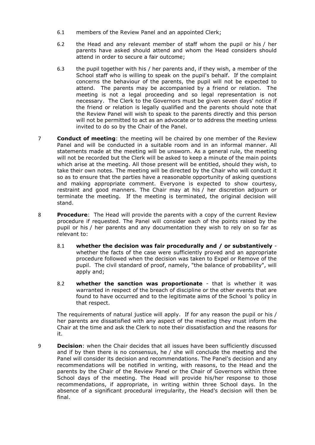- 6.1 members of the Review Panel and an appointed Clerk;
- 6.2 the Head and any relevant member of staff whom the pupil or his / her parents have asked should attend and whom the Head considers should attend in order to secure a fair outcome;
- 6.3 the pupil together with his / her parents and, if they wish, a member of the School staff who is willing to speak on the pupil's behalf. If the complaint concerns the behaviour of the parents, the pupil will not be expected to attend. The parents may be accompanied by a friend or relation. The meeting is not a legal proceeding and so legal representation is not necessary. The Clerk to the Governors must be given seven days' notice if the friend or relation is legally qualified and the parents should note that the Review Panel will wish to speak to the parents directly and this person will not be permitted to act as an advocate or to address the meeting unless invited to do so by the Chair of the Panel.
- 7 **Conduct of meeting**: the meeting will be chaired by one member of the Review Panel and will be conducted in a suitable room and in an informal manner. All statements made at the meeting will be unsworn. As a general rule, the meeting will not be recorded but the Clerk will be asked to keep a minute of the main points which arise at the meeting. All those present will be entitled, should they wish, to take their own notes. The meeting will be directed by the Chair who will conduct it so as to ensure that the parties have a reasonable opportunity of asking questions and making appropriate comment. Everyone is expected to show courtesy, restraint and good manners. The Chair may at his / her discretion adjourn or terminate the meeting. If the meeting is terminated, the original decision will stand.
- 8 **Procedure**: The Head will provide the parents with a copy of the current Review procedure if requested. The Panel will consider each of the points raised by the pupil or his / her parents and any documentation they wish to rely on so far as relevant to:
	- 8.1 **whether the decision was fair procedurally and / or substantively** whether the facts of the case were sufficiently proved and an appropriate procedure followed when the decision was taken to Expel or Remove of the pupil. The civil standard of proof, namely, "the balance of probability", will apply and;
	- 8.2 **whether the sanction was proportionate** that is whether it was warranted in respect of the breach of discipline or the other events that are found to have occurred and to the legitimate aims of the School 's policy in that respect.

The requirements of natural justice will apply. If for any reason the pupil or his / her parents are dissatisfied with any aspect of the meeting they must inform the Chair at the time and ask the Clerk to note their dissatisfaction and the reasons for it.

9 **Decision**: when the Chair decides that all issues have been sufficiently discussed and if by then there is no consensus, he / she will conclude the meeting and the Panel will consider its decision and recommendations. The Panel's decision and any recommendations will be notified in writing, with reasons, to the Head and the parents by the Chair of the Review Panel or the Chair of Governors within three School days of the meeting. The Head will provide his/her response to those recommendations, if appropriate, in writing within three School days. In the absence of a significant procedural irregularity, the Head's decision will then be final.